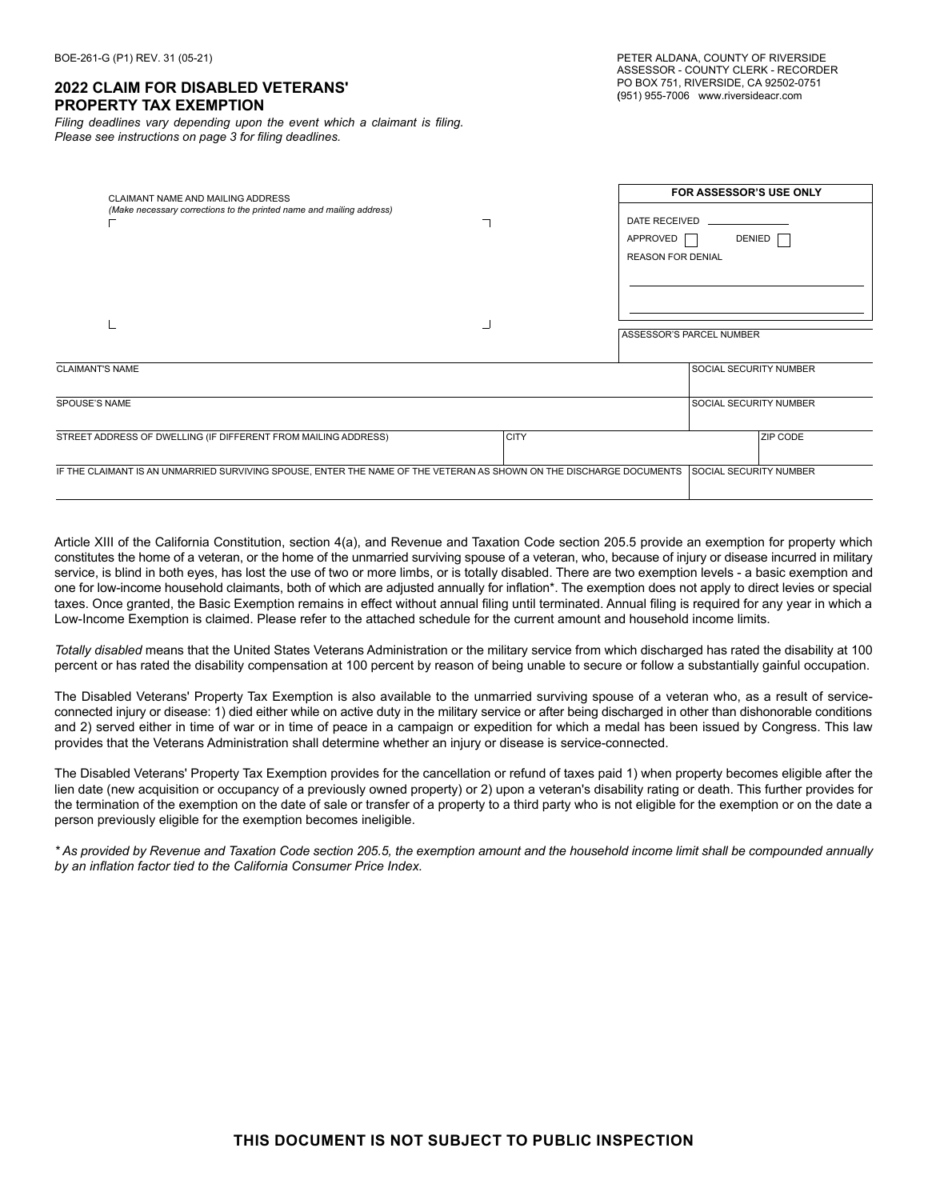#### **2022 CLAIM FOR DISABLED VETERANS' PROPERTY TAX EXEMPTION**

*Filing deadlines vary depending upon the event which a claimant is filing. Please see instructions on page 3 for filing deadlines.* 

| CLAIMANT NAME AND MAILING ADDRESS<br>(Make necessary corrections to the printed name and mailing address)           |             | DATE RECEIVED<br>APPROVED<br><b>REASON FOR DENIAL</b> | <b>FOR ASSESSOR'S USE ONLY</b><br>DENIED           |
|---------------------------------------------------------------------------------------------------------------------|-------------|-------------------------------------------------------|----------------------------------------------------|
| <b>CLAIMANT'S NAME</b>                                                                                              |             |                                                       | ASSESSOR'S PARCEL NUMBER<br>SOCIAL SECURITY NUMBER |
| <b>SPOUSE'S NAME</b>                                                                                                |             |                                                       | <b>SOCIAL SECURITY NUMBER</b>                      |
| STREET ADDRESS OF DWELLING (IF DIFFERENT FROM MAILING ADDRESS)                                                      | <b>CITY</b> |                                                       | ZIP CODE                                           |
| IF THE CLAIMANT IS AN UNMARRIED SURVIVING SPOUSE, ENTER THE NAME OF THE VETERAN AS SHOWN ON THE DISCHARGE DOCUMENTS |             |                                                       | <b>SOCIAL SECURITY NUMBER</b>                      |

Article XIII of the California Constitution, section 4(a), and Revenue and Taxation Code section 205.5 provide an exemption for property which constitutes the home of a veteran, or the home of the unmarried surviving spouse of a veteran, who, because of injury or disease incurred in military service, is blind in both eyes, has lost the use of two or more limbs, or is totally disabled. There are two exemption levels - a basic exemption and one for low-income household claimants, both of which are adjusted annually for inflation\*. The exemption does not apply to direct levies or special taxes. Once granted, the Basic Exemption remains in effect without annual filing until terminated. Annual filing is required for any year in which a Low-Income Exemption is claimed. Please refer to the attached schedule for the current amount and household income limits.

*Totally disabled* means that the United States Veterans Administration or the military service from which discharged has rated the disability at 100 percent or has rated the disability compensation at 100 percent by reason of being unable to secure or follow a substantially gainful occupation.

The Disabled Veterans' Property Tax Exemption is also available to the unmarried surviving spouse of a veteran who, as a result of serviceconnected injury or disease: 1) died either while on active duty in the military service or after being discharged in other than dishonorable conditions and 2) served either in time of war or in time of peace in a campaign or expedition for which a medal has been issued by Congress. This law provides that the Veterans Administration shall determine whether an injury or disease is service-connected.

The Disabled Veterans' Property Tax Exemption provides for the cancellation or refund of taxes paid 1) when property becomes eligible after the lien date (new acquisition or occupancy of a previously owned property) or 2) upon a veteran's disability rating or death. This further provides for the termination of the exemption on the date of sale or transfer of a property to a third party who is not eligible for the exemption or on the date a person previously eligible for the exemption becomes ineligible.

*\* As provided by Revenue and Taxation Code section 205.5, the exemption amount and the household income limit shall be compounded annually by an inflation factor tied to the California Consumer Price Index.*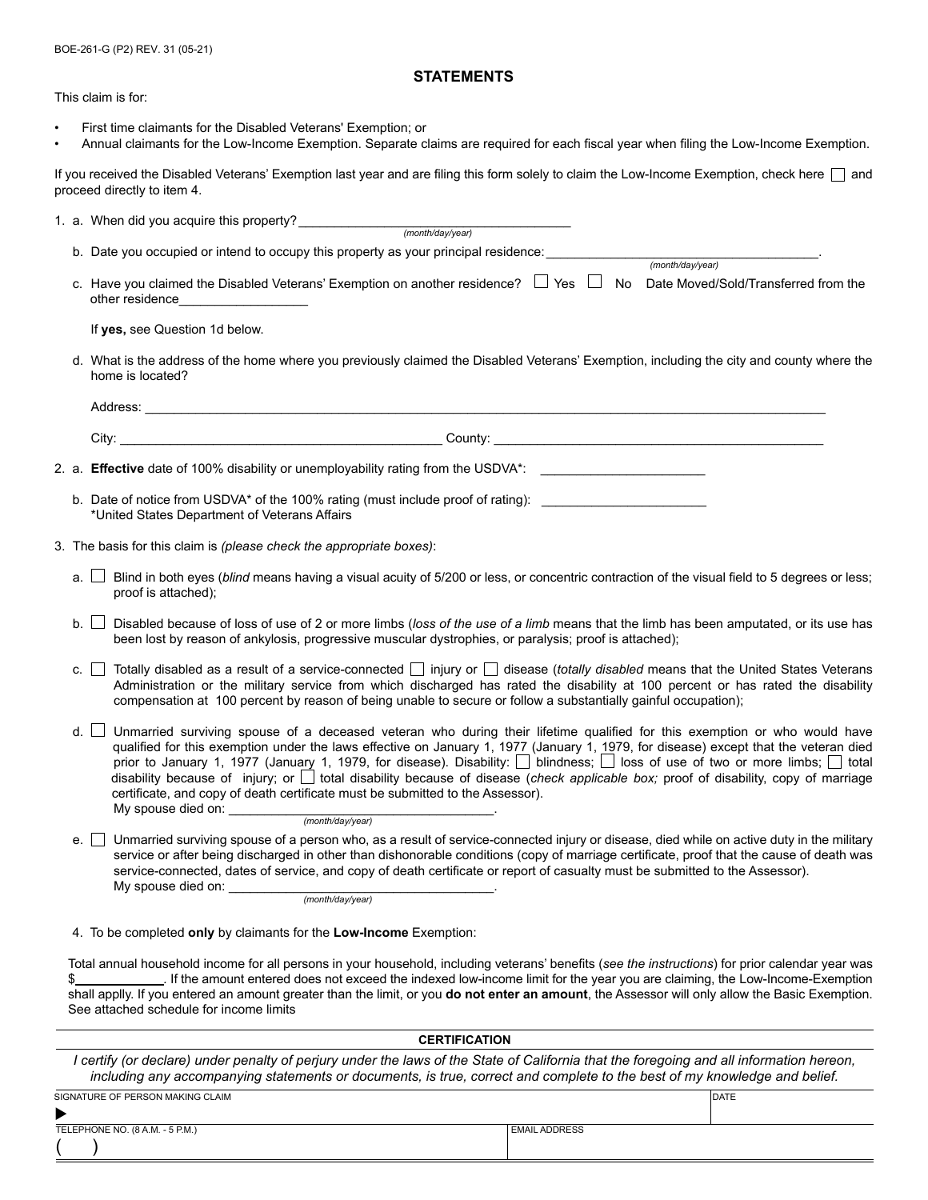BOE-261-G (P2) REV. 31 (05-21)

#### **STATEMENTS**

This claim is for:

- First time claimants for the Disabled Veterans' Exemption; or
- Annual claimants for the Low-Income Exemption. Separate claims are required for each fiscal year when filing the Low-Income Exemption.

If you received the Disabled Veterans' Exemption last year and are filing this form solely to claim the Low-Income Exemption, check here and proceed directly to item 4.

|                                                                                                                                                               | b. Date you occupied or intend to occupy this property as your principal residence: <i>month/day/year</i> (month/day/year)                                                                                                                                                                                                                                                                        |  |  |  |
|---------------------------------------------------------------------------------------------------------------------------------------------------------------|---------------------------------------------------------------------------------------------------------------------------------------------------------------------------------------------------------------------------------------------------------------------------------------------------------------------------------------------------------------------------------------------------|--|--|--|
|                                                                                                                                                               |                                                                                                                                                                                                                                                                                                                                                                                                   |  |  |  |
|                                                                                                                                                               | c. Have you claimed the Disabled Veterans' Exemption on another residence? □ Yes □ No Date Moved/Sold/Transferred from the<br>other residence_____________________                                                                                                                                                                                                                                |  |  |  |
|                                                                                                                                                               | If yes, see Question 1d below.                                                                                                                                                                                                                                                                                                                                                                    |  |  |  |
| d. What is the address of the home where you previously claimed the Disabled Veterans' Exemption, including the city and county where the<br>home is located? |                                                                                                                                                                                                                                                                                                                                                                                                   |  |  |  |
|                                                                                                                                                               |                                                                                                                                                                                                                                                                                                                                                                                                   |  |  |  |
|                                                                                                                                                               |                                                                                                                                                                                                                                                                                                                                                                                                   |  |  |  |
|                                                                                                                                                               | 2. a. Effective date of 100% disability or unemployability rating from the USDVA*: _________________                                                                                                                                                                                                                                                                                              |  |  |  |
|                                                                                                                                                               | b. Date of notice from USDVA* of the 100% rating (must include proof of rating):<br>*United States Department of Veterans Affairs                                                                                                                                                                                                                                                                 |  |  |  |
|                                                                                                                                                               | 3. The basis for this claim is (please check the appropriate boxes):                                                                                                                                                                                                                                                                                                                              |  |  |  |
| a. I                                                                                                                                                          | Blind in both eyes (blind means having a visual acuity of 5/200 or less, or concentric contraction of the visual field to 5 degrees or less;<br>proof is attached);                                                                                                                                                                                                                               |  |  |  |
| b.                                                                                                                                                            | Disabled because of loss of use of 2 or more limbs (loss of the use of a limb means that the limb has been amputated, or its use has<br>been lost by reason of ankylosis, progressive muscular dystrophies, or paralysis; proof is attached);                                                                                                                                                     |  |  |  |
| c. I                                                                                                                                                          | Totally disabled as a result of a service-connected $\Box$ injury or $\Box$ disease (totally disabled means that the United States Veterans<br>Administration or the military service from which discharged has rated the disability at 100 percent or has rated the disability<br>compensation at 100 percent by reason of being unable to secure or follow a substantially gainful occupation); |  |  |  |

d. □ Unmarried surviving spouse of a deceased veteran who during their lifetime qualified for this exemption or who would have qualified for this exemption under the laws effective on January 1, 1977 (January 1, 1979, for disease) except that the veteran died prior to January 1, 1977 (January 1, 1979, for disease). Disability: D blindness; D loss of use of two or more limbs; D total disability because of injury; or it total disability because of disease (check applicable box; proof of disability, copy of marriage certificate, and copy of death certificate must be submitted to the Assessor). My spouse died on: \_

(month/day/year)

e. I Unmarried surviving spouse of a person who, as a result of service-connected injury or disease, died while on active duty in the military service or after being discharged in other than dishonorable conditions (copy of marriage certificate, proof that the cause of death was service-connected, dates of service, and copy of death certificate or report of casualty must be submitted to the Assessor). My spouse died on:

(month/day/year)

4. To be completed **only** by claimants for the **Low-Income** Exemption:

Total annual household income for all persons in your household, including veterans' benefits (*see the instructions*) for prior calendar year was \$ *.* If the amount entered does not exceed the indexed low-income limit for the year you are claiming, the Low-Income-Exemption shall applly. If you entered an amount greater than the limit, or you **do not enter an amount**, the Assessor will only allow the Basic Exemption. See attached schedule for income limits

| <b>CERTIFICATION</b>                                                                                                                                                                                                                                                  |                      |              |  |  |  |
|-----------------------------------------------------------------------------------------------------------------------------------------------------------------------------------------------------------------------------------------------------------------------|----------------------|--------------|--|--|--|
| I certify (or declare) under penalty of perjury under the laws of the State of California that the foregoing and all information hereon,<br>including any accompanying statements or documents, is true, correct and complete to the best of my knowledge and belief. |                      |              |  |  |  |
| SIGNATURE OF PERSON MAKING CLAIM                                                                                                                                                                                                                                      |                      | <b>IDATE</b> |  |  |  |
|                                                                                                                                                                                                                                                                       |                      |              |  |  |  |
| TELEPHONE NO. (8 A.M. - 5 P.M.)                                                                                                                                                                                                                                       | <b>EMAIL ADDRESS</b> |              |  |  |  |
|                                                                                                                                                                                                                                                                       |                      |              |  |  |  |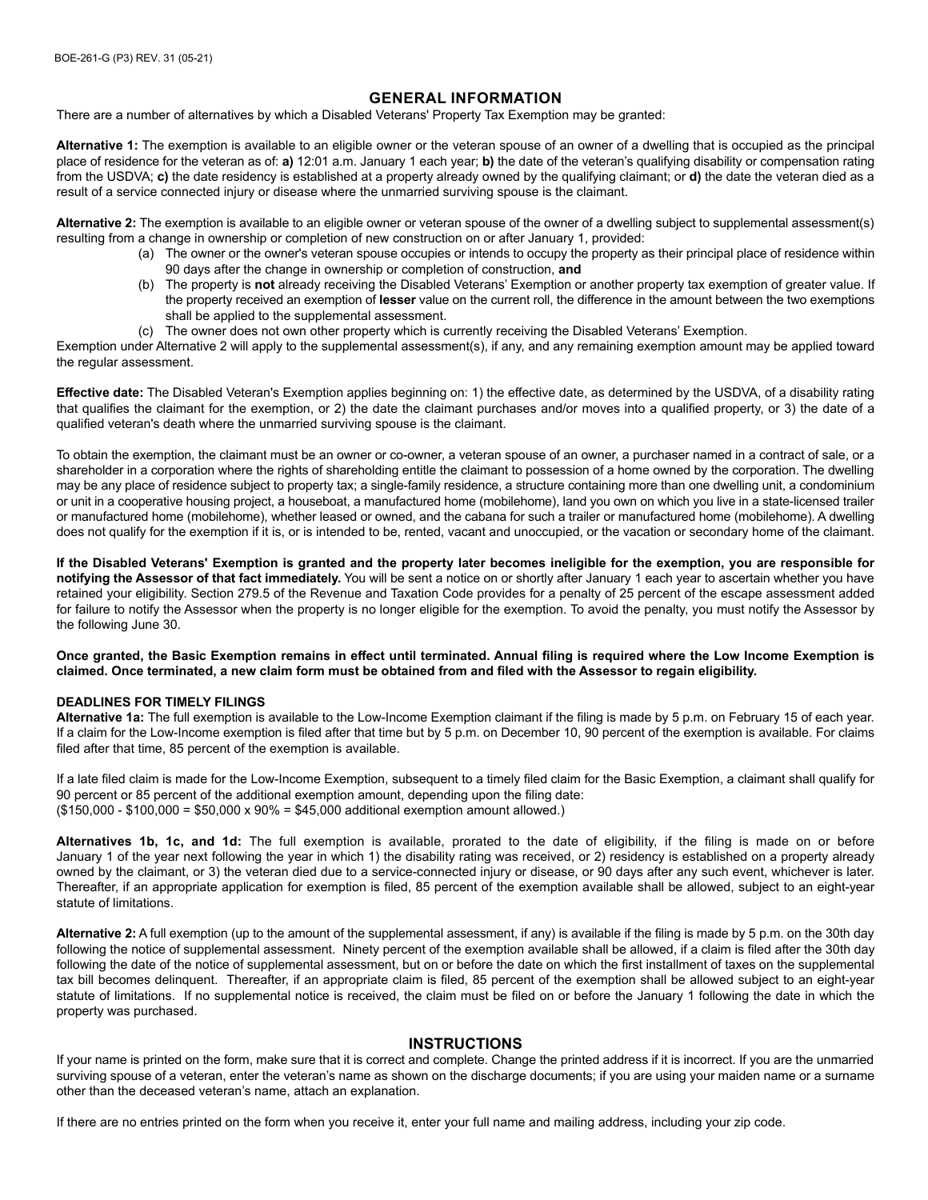### **GENERAL INFORMATION**

There are a number of alternatives by which a Disabled Veterans' Property Tax Exemption may be granted:

**Alternative 1:** The exemption is available to an eligible owner or the veteran spouse of an owner of a dwelling that is occupied as the principal place of residence for the veteran as of: **a)** 12:01 a.m. January 1 each year; **b)** the date of the veteran's qualifying disability or compensation rating from the USDVA; **c)** the date residency is established at a property already owned by the qualifying claimant; or **d)** the date the veteran died as a result of a service connected injury or disease where the unmarried surviving spouse is the claimant.

**Alternative 2:** The exemption is available to an eligible owner or veteran spouse of the owner of a dwelling subject to supplemental assessment(s) resulting from a change in ownership or completion of new construction on or after January 1, provided:

- (a) The owner or the owner's veteran spouse occupies or intends to occupy the property as their principal place of residence within 90 days after the change in ownership or completion of construction, **and**
- (b) The property is **not** already receiving the Disabled Veterans' Exemption or another property tax exemption of greater value. If the property received an exemption of **lesser** value on the current roll, the difference in the amount between the two exemptions shall be applied to the supplemental assessment.
- (c) The owner does not own other property which is currently receiving the Disabled Veterans' Exemption.

Exemption under Alternative 2 will apply to the supplemental assessment(s), if any, and any remaining exemption amount may be applied toward the regular assessment.

**Effective date:** The Disabled Veteran's Exemption applies beginning on: 1) the effective date, as determined by the USDVA, of a disability rating that qualifies the claimant for the exemption, or 2) the date the claimant purchases and/or moves into a qualified property, or 3) the date of a qualified veteran's death where the unmarried surviving spouse is the claimant.

To obtain the exemption, the claimant must be an owner or co-owner, a veteran spouse of an owner, a purchaser named in a contract of sale, or a shareholder in a corporation where the rights of shareholding entitle the claimant to possession of a home owned by the corporation. The dwelling may be any place of residence subject to property tax; a single-family residence, a structure containing more than one dwelling unit, a condominium or unit in a cooperative housing project, a houseboat, a manufactured home (mobilehome), land you own on which you live in a state-licensed trailer or manufactured home (mobilehome), whether leased or owned, and the cabana for such a trailer or manufactured home (mobilehome). A dwelling does not qualify for the exemption if it is, or is intended to be, rented, vacant and unoccupied, or the vacation or secondary home of the claimant.

**If the Disabled Veterans' Exemption is granted and the property later becomes ineligible for the exemption, you are responsible for notifying the Assessor of that fact immediately.** You will be sent a notice on or shortly after January 1 each year to ascertain whether you have retained your eligibility. Section 279.5 of the Revenue and Taxation Code provides for a penalty of 25 percent of the escape assessment added for failure to notify the Assessor when the property is no longer eligible for the exemption. To avoid the penalty, you must notify the Assessor by the following June 30.

**Once granted, the Basic Exemption remains in effect until terminated. Annual filing is required where the Low Income Exemption is claimed. Once terminated, a new claim form must be obtained from and filed with the Assessor to regain eligibility.**

#### **DEADLINES FOR TIMELY FILINGS**

**Alternative 1a:** The full exemption is available to the Low-Income Exemption claimant if the filing is made by 5 p.m. on February 15 of each year. If a claim for the Low-Income exemption is filed after that time but by 5 p.m. on December 10, 90 percent of the exemption is available. For claims filed after that time, 85 percent of the exemption is available.

If a late filed claim is made for the Low-Income Exemption, subsequent to a timely filed claim for the Basic Exemption, a claimant shall qualify for 90 percent or 85 percent of the additional exemption amount, depending upon the filing date: (\$150,000 - \$100,000 = \$50,000 x 90% = \$45,000 additional exemption amount allowed.)

**Alternatives 1b, 1c, and 1d:** The full exemption is available, prorated to the date of eligibility, if the filing is made on or before January 1 of the year next following the year in which 1) the disability rating was received, or 2) residency is established on a property already owned by the claimant, or 3) the veteran died due to a service-connected injury or disease, or 90 days after any such event, whichever is later. Thereafter, if an appropriate application for exemption is filed, 85 percent of the exemption available shall be allowed, subject to an eight-year statute of limitations.

**Alternative 2:** A full exemption (up to the amount of the supplemental assessment, if any) is available if the filing is made by 5 p.m. on the 30th day following the notice of supplemental assessment. Ninety percent of the exemption available shall be allowed, if a claim is filed after the 30th day following the date of the notice of supplemental assessment, but on or before the date on which the first installment of taxes on the supplemental tax bill becomes delinquent. Thereafter, if an appropriate claim is filed, 85 percent of the exemption shall be allowed subject to an eight-year statute of limitations. If no supplemental notice is received, the claim must be filed on or before the January 1 following the date in which the property was purchased.

#### **INSTRUCTIONS**

If your name is printed on the form, make sure that it is correct and complete. Change the printed address if it is incorrect. If you are the unmarried surviving spouse of a veteran, enter the veteran's name as shown on the discharge documents; if you are using your maiden name or a surname other than the deceased veteran's name, attach an explanation.

If there are no entries printed on the form when you receive it, enter your full name and mailing address, including your zip code.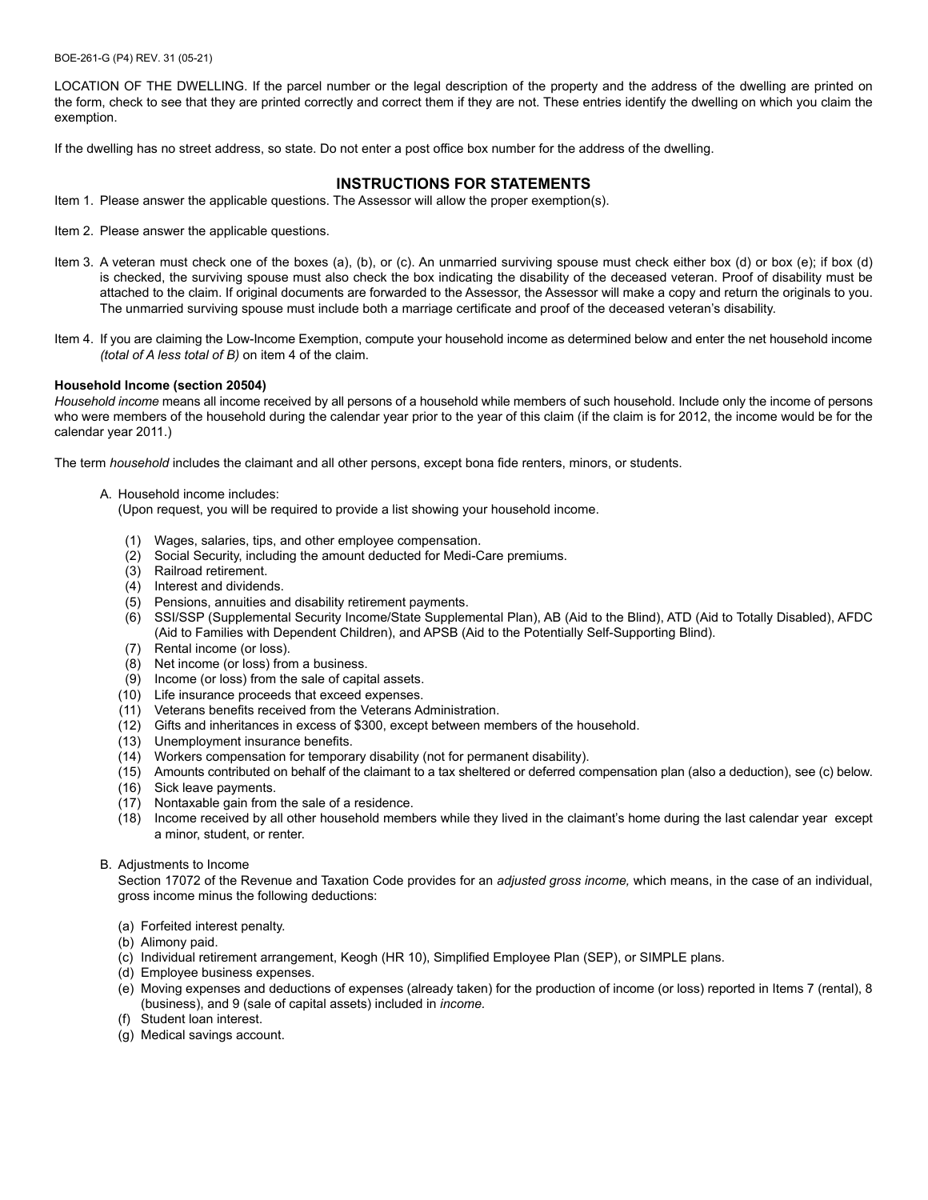BOE-261-G (P4) REV. 31 (05-21)

LOCATION OF THE DWELLING. If the parcel number or the legal description of the property and the address of the dwelling are printed on the form, check to see that they are printed correctly and correct them if they are not. These entries identify the dwelling on which you claim the exemption.

If the dwelling has no street address, so state. Do not enter a post office box number for the address of the dwelling.

#### **INSTRUCTIONS FOR STATEMENTS**

- Item 1. Please answer the applicable questions. The Assessor will allow the proper exemption(s).
- Item 2. Please answer the applicable questions.
- Item 3. A veteran must check one of the boxes (a), (b), or (c). An unmarried surviving spouse must check either box (d) or box (e); if box (d) is checked, the surviving spouse must also check the box indicating the disability of the deceased veteran. Proof of disability must be attached to the claim. If original documents are forwarded to the Assessor, the Assessor will make a copy and return the originals to you. The unmarried surviving spouse must include both a marriage certificate and proof of the deceased veteran's disability.
- Item 4. If you are claiming the Low-Income Exemption, compute your household income as determined below and enter the net household income *(total of A less total of B)* on item 4 of the claim.

#### **Household Income (section 20504)**

*Household income* means all income received by all persons of a household while members of such household. Include only the income of persons who were members of the household during the calendar year prior to the year of this claim (if the claim is for 2012, the income would be for the calendar year 2011.)

The term *household* includes the claimant and all other persons, except bona fide renters, minors, or students.

A. Household income includes:

(Upon request, you will be required to provide a list showing your household income.

- (1) Wages, salaries, tips, and other employee compensation.
- (2) Social Security, including the amount deducted for Medi-Care premiums.
- (3) Railroad retirement.
- (4) Interest and dividends.
- (5) Pensions, annuities and disability retirement payments.
- (6) SSI/SSP (Supplemental Security Income/State Supplemental Plan), AB (Aid to the Blind), ATD (Aid to Totally Disabled), AFDC (Aid to Families with Dependent Children), and APSB (Aid to the Potentially Self-Supporting Blind).
- (7) Rental income (or loss).
- (8) Net income (or loss) from a business.
- (9) Income (or loss) from the sale of capital assets.
- (10) Life insurance proceeds that exceed expenses.
- (11) Veterans benefits received from the Veterans Administration.
- (12) Gifts and inheritances in excess of \$300, except between members of the household.
- (13) Unemployment insurance benefits.
- (14) Workers compensation for temporary disability (not for permanent disability).
- (15) Amounts contributed on behalf of the claimant to a tax sheltered or deferred compensation plan (also a deduction), see (c) below.
- (16) Sick leave payments.
- (17) Nontaxable gain from the sale of a residence.
- (18) Income received by all other household members while they lived in the claimant's home during the last calendar year except a minor, student, or renter.
- B. Adjustments to Income

Section 17072 of the Revenue and Taxation Code provides for an *adjusted gross income,* which means, in the case of an individual, gross income minus the following deductions:

- (a) Forfeited interest penalty.
- (b) Alimony paid.
- (c) Individual retirement arrangement, Keogh (HR 10), Simplified Employee Plan (SEP), or SIMPLE plans.
- (d) Employee business expenses.
- (e) Moving expenses and deductions of expenses (already taken) for the production of income (or loss) reported in Items 7 (rental), 8 (business), and 9 (sale of capital assets) included in *income.*
- (f) Student loan interest.
- (g) Medical savings account.